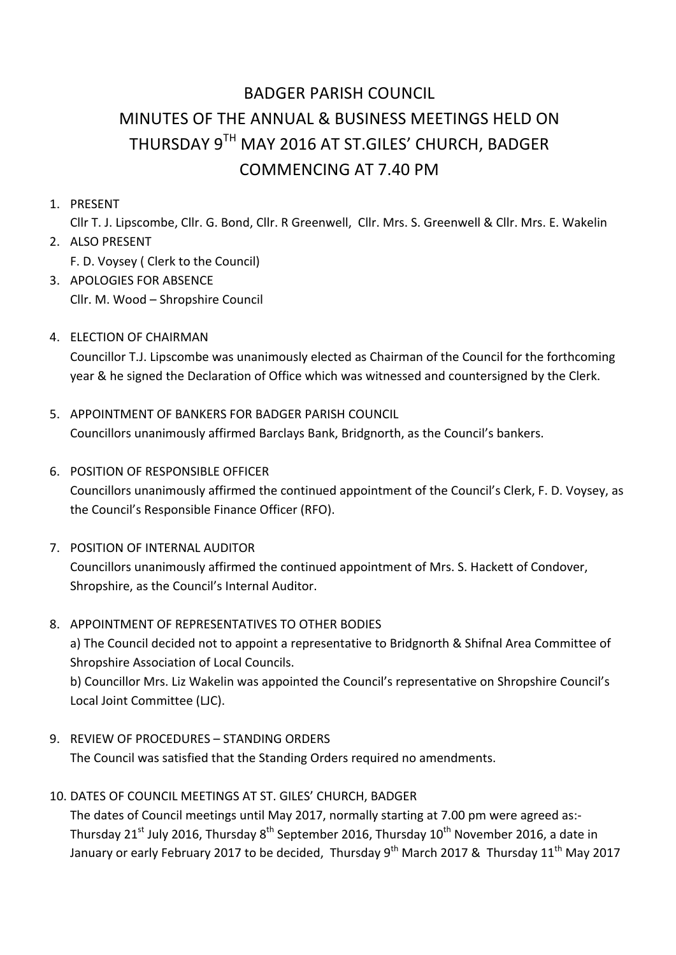# BADGER PARISH COUNCIL MINUTES OF THE ANNUAL & BUSINESS MEETINGS HELD ON THURSDAY 9TH MAY 2016 AT ST.GILES' CHURCH, BADGER COMMENCING AT 7.40 PM

1. PRESENT 

Cllr T. J. Lipscombe, Cllr. G. Bond, Cllr. R Greenwell, Cllr. Mrs. S. Greenwell & Cllr. Mrs. E. Wakelin

- 2. ALSO PRESENT F. D. Voysey ( Clerk to the Council)
- 3. APOLOGIES FOR ABSENCE Cllr. M. Wood - Shropshire Council
- 4. ELECTION OF CHAIRMAN

Councillor T.J. Lipscombe was unanimously elected as Chairman of the Council for the forthcoming year & he signed the Declaration of Office which was witnessed and countersigned by the Clerk.

- 5. APPOINTMENT OF BANKERS FOR BADGER PARISH COUNCIL Councillors unanimously affirmed Barclays Bank, Bridgnorth, as the Council's bankers.
- **6. POSITION OF RESPONSIBLE OFFICER** Councillors unanimously affirmed the continued appointment of the Council's Clerk, F. D. Voysey, as the Council's Responsible Finance Officer (RFO).
- 7. POSITION OF INTERNAL AUDITOR

Councillors unanimously affirmed the continued appointment of Mrs. S. Hackett of Condover, Shropshire, as the Council's Internal Auditor.

8. APPOINTMENT OF REPRESENTATIVES TO OTHER BODIES

a) The Council decided not to appoint a representative to Bridgnorth & Shifnal Area Committee of Shropshire Association of Local Councils.

b) Councillor Mrs. Liz Wakelin was appointed the Council's representative on Shropshire Council's Local Joint Committee (LJC).

9. REVIEW OF PROCEDURES - STANDING ORDERS

The Council was satisfied that the Standing Orders required no amendments.

10. DATES OF COUNCIL MEETINGS AT ST. GILES' CHURCH, BADGER

The dates of Council meetings until May 2017, normally starting at 7.00 pm were agreed as:-Thursday 21<sup>st</sup> July 2016, Thursday  $8^{th}$  September 2016, Thursday 10<sup>th</sup> November 2016, a date in January or early February 2017 to be decided, Thursday  $9^{th}$  March 2017 & Thursday 11<sup>th</sup> May 2017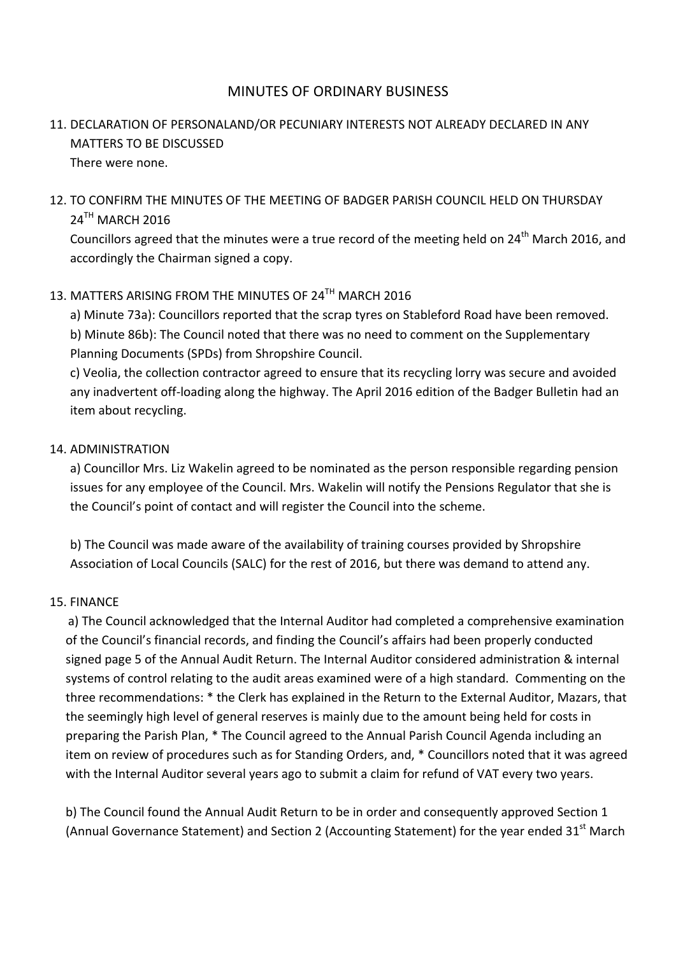## MINUTES OF ORDINARY BUSINESS

# 11. DECLARATION OF PERSONALAND/OR PECUNIARY INTERESTS NOT ALREADY DECLARED IN ANY MATTERS TO BE DISCUSSED There were none.

# 12. TO CONFIRM THE MINUTES OF THE MEETING OF BADGER PARISH COUNCIL HELD ON THURSDAY  $24<sup>TH</sup>$  MARCH 2016

Councillors agreed that the minutes were a true record of the meeting held on 24<sup>th</sup> March 2016, and accordingly the Chairman signed a copy.

# 13. MATTERS ARISING FROM THE MINUTES OF 24<sup>TH</sup> MARCH 2016

a) Minute 73a): Councillors reported that the scrap tyres on Stableford Road have been removed. b) Minute 86b): The Council noted that there was no need to comment on the Supplementary Planning Documents (SPDs) from Shropshire Council.

c) Veolia, the collection contractor agreed to ensure that its recycling lorry was secure and avoided any inadvertent off-loading along the highway. The April 2016 edition of the Badger Bulletin had an item about recycling.

## 14. ADMINISTRATION

a) Councillor Mrs. Liz Wakelin agreed to be nominated as the person responsible regarding pension issues for any employee of the Council. Mrs. Wakelin will notify the Pensions Regulator that she is the Council's point of contact and will register the Council into the scheme.

b) The Council was made aware of the availability of training courses provided by Shropshire Association of Local Councils (SALC) for the rest of 2016, but there was demand to attend any.

#### 15. FINANCE **Example 2008**

a) The Council acknowledged that the Internal Auditor had completed a comprehensive examination of the Council's financial records, and finding the Council's affairs had been properly conducted signed page 5 of the Annual Audit Return. The Internal Auditor considered administration & internal systems of control relating to the audit areas examined were of a high standard. Commenting on the three recommendations: \* the Clerk has explained in the Return to the External Auditor, Mazars, that the seemingly high level of general reserves is mainly due to the amount being held for costs in preparing the Parish Plan, \* The Council agreed to the Annual Parish Council Agenda including an item on review of procedures such as for Standing Orders, and, \* Councillors noted that it was agreed with the Internal Auditor several years ago to submit a claim for refund of VAT every two years.

b) The Council found the Annual Audit Return to be in order and consequently approved Section 1 (Annual Governance Statement) and Section 2 (Accounting Statement) for the year ended 31<sup>st</sup> March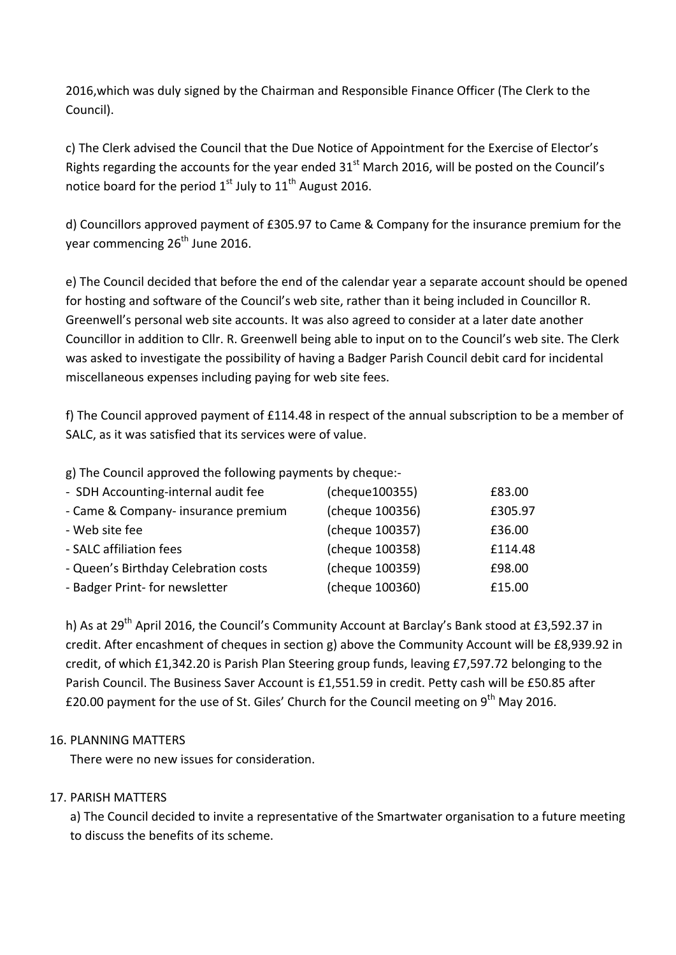2016, which was duly signed by the Chairman and Responsible Finance Officer (The Clerk to the Council).

c) The Clerk advised the Council that the Due Notice of Appointment for the Exercise of Elector's Rights regarding the accounts for the year ended  $31<sup>st</sup>$  March 2016, will be posted on the Council's notice board for the period  $1^{st}$  July to  $11^{th}$  August 2016.

d) Councillors approved payment of £305.97 to Came & Company for the insurance premium for the year commencing 26<sup>th</sup> June 2016.

e) The Council decided that before the end of the calendar year a separate account should be opened for hosting and software of the Council's web site, rather than it being included in Councillor R. Greenwell's personal web site accounts. It was also agreed to consider at a later date another Councillor in addition to Cllr. R. Greenwell being able to input on to the Council's web site. The Clerk was asked to investigate the possibility of having a Badger Parish Council debit card for incidental miscellaneous expenses including paying for web site fees.

f) The Council approved payment of £114.48 in respect of the annual subscription to be a member of SALC, as it was satisfied that its services were of value.

g) The Council approved the following payments by cheque:-

| - SDH Accounting-internal audit fee  | (cheque100355)  | £83.00  |
|--------------------------------------|-----------------|---------|
| - Came & Company- insurance premium  | (cheque 100356) | £305.97 |
| - Web site fee                       | (cheque 100357) | £36.00  |
| - SALC affiliation fees              | (cheque 100358) | £114.48 |
| - Queen's Birthday Celebration costs | (cheque 100359) | £98.00  |
| - Badger Print- for newsletter       | (cheque 100360) | £15.00  |

h) As at 29<sup>th</sup> April 2016, the Council's Community Account at Barclay's Bank stood at £3,592.37 in credit. After encashment of cheques in section g) above the Community Account will be  $E8,939.92$  in credit, of which  $£1,342.20$  is Parish Plan Steering group funds, leaving  $£7,597.72$  belonging to the Parish Council. The Business Saver Account is £1,551.59 in credit. Petty cash will be £50.85 after £20.00 payment for the use of St. Giles' Church for the Council meeting on 9<sup>th</sup> May 2016.

#### 16. PLANNING MATTERS

There were no new issues for consideration.

#### 17. PARISH MATTERS

a) The Council decided to invite a representative of the Smartwater organisation to a future meeting to discuss the benefits of its scheme.